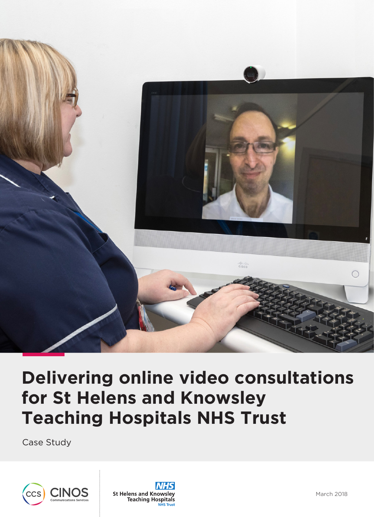

# **Delivering online video consultations for St Helens and Knowsley Teaching Hospitals NHS Trust**

Case Study



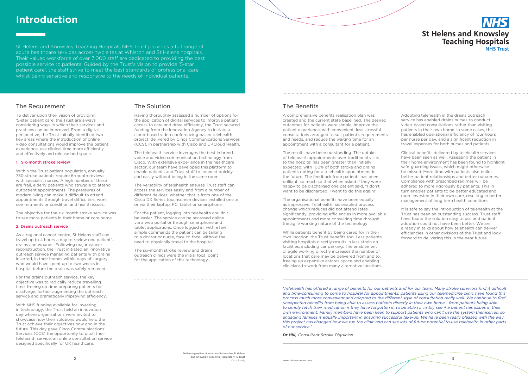# **St Helens and Knowsley Teaching Hospitals NHS Trust**

St Helens and Knowsley Teaching Hospitals NHS Trust provides a full range of acute healthcare services across two sites at Whiston and St Helens hospitals. Their valued workforce of over 7,000 staff are dedicated to providing the best possible service to patients. Guided by the Trust's vision to provide '5-star patient care', the staff strive to meet the best standards of professional care whilst being sensitive and responsive to the needs of individual patients.

# **Introduction**

### The Requirement

To deliver upon their vision of providing '5-star patient care' the Trust are always considering ways in which their services and practices can be improved. From a digital perspective, the Trust initially identified two key areas where the introduction of online video consultations would improve the patient experience, use clinical time more efficiently and effectively and release bed space.

#### 1. Six-month stroke review

Within the Trust patient population, annually 750 stroke patients require 6-month reviews with specialist nurses. A high number of these are frail, elderly patients who struggle to attend outpatient appointments. The pressures of modern living can make it difficult to attend appointments through travel difficulties, work commitments or condition and health issues.

The objective for the six-month stroke service was to see more patients in their home or care home.

#### 2. Drains outreach service

As a regional cancer centre, St Helens staff can travel up to 4 hours a day to review one patient's drains and wounds. Following major cancer reconstruction, the Trust initiated an innovative outreach service managing patients with drains inserted, in their homes within days of surgery, who would have spent up to two weeks in hospital before the drain was safely removed.

For the drains outreach service, the key objective was to radically reduce travelling time, freeing up time preparing patients for discharge, further augmenting the outreach service and dramatically improving efficiency.

With NHS funding available for investing in technology, the Trust held an innovation day where organisations were invited to showcase how their solutions would help the Trust achieve their objectives now and in the future. This day gave Cinos Communications Services (CCS) the opportunity to pitch their telehealth service; an online consultation service designed specifically for UK healthcare.

### The Solution

Having thoroughly assessed a number of options for the application of digital services to improve patient access to care and drive efficiency, the Trust secured funding from the Innovation Agency to initiate a cloud-based video conferencing based telehealth project, delivered by Cinos Communications Services (CCS), in partnership with Cisco and UKCloud Health.

The telehealth service leverages the best in breed voice and video communication technology from Cisco. With extensive experience in the healthcare sector, our team have developed this platform to enable patients and Trust staff to connect quickly and easily without being in the same room.

The versatility of telehealth ensures Trust staff can access the services easily and from a number of different devices; whether that is from one of the Cisco DX Series touchscreen devices installed onsite, or via their laptop, PC, tablet or smartphone.

For the patient, logging into telehealth couldn't be easier. The service can be accessed online via a web portal or through smartphone and tablet applications. Once logged in, with a few simple commands the patient can be talking to a doctor or nurse, face-to-face, without the need to physically travel to the hospital.

The six-month stroke review and drains outreach clinics were the initial focal point for the application of this technology.

> *'Telehealth has offered a range of benefits for our patients and for our team. Many stroke survivors find it difficult and time-consuming to come to hospital for appointments: patients using our telemedicine clinic have found this process much more convenient and adapted to the different style of consultation really well. We continue to find unexpected benefits from being able to assess patients directly in their own home - from patients being able to simply fetch their medication if they have forgotten it, to be able to visibly see if a patient has issues in their own environment. Family members have been keen to support patients who can't use the system themselves, so engaging families is equally important in ensuring successful take-up. We have been really pleased with the way this project has changed how we run the clinic and can see lots of future potential to use telehealth in other parts of our service.'*

*Dr Hill, Consultant Stroke Physician*

## The Benefits

A comprehensive benefits realisation plan was created and the current state baselined. The desired outcomes for patients were simple; improve the patient experience, with convenient, less stressful consultations arranged to suit patient's requirements and needs, and reduce the waiting time for an appointment with a consultant for a patient.

The results have been outstanding. The uptake of telehealth appointments over traditional visits to the hospital has been greater than initially expected, with 100% of both stroke and drains patients opting for a telehealth appointment in the future. The feedback from patients has been brilliant, so much so that when asked if they were happy to be discharged one patient said, "I don't want to be discharged, I want to do this again!"

The organisational benefits have been equally as impressive. Telehealth has enabled process change which reduces did not attend rates significantly, providing efficiencies in more available appointments and more consulting time through the agile working nature of the technology.

While patients benefit by being cared for in their own location, the Trust benefits too. Less patients visiting hospitals directly results in less strain on facilities, including car parking. The enablement of agile working directly increases the number of locations that care may be delivered from and to, freeing up expensive estates space and enabling clinicians to work from many alternative locations. Adopting telehealth in the drains outreach service has enabled drains nurses to conduct video-based consultations rather than visiting patients in their own home. In some cases, this has enabled operational efficiency of four hours per nurse per day, and a significant reduction in travel expenses for both nurses and patients.

Clinical benefits delivered by telehealth services have been seen as well. Assessing the patient in their home environment has been found to highlight safe-guarding issues, which might otherwise be missed. More time with patients also builds better patient relationships and better outcomes. Compliance with prescribed regimes will be adhered to more rigorously by patients. This in turn enables patients to be better educated and more invested in their own care, resulting in better management of long term health conditions.

It is safe to say the introduction of telehealth at the Trust has been an outstanding success. Trust staff have found the solution easy to use and patient adoption could not have been better. We are already in talks about how telehealth can deliver efficiencies in other divisions of the Trust and look forward to delivering this in the near future.